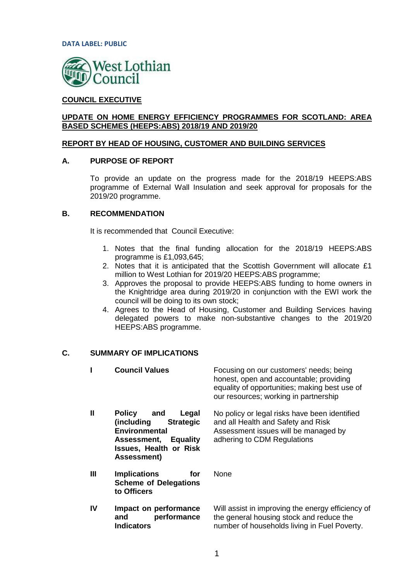

# **COUNCIL EXECUTIVE**

# **UPDATE ON HOME ENERGY EFFICIENCY PROGRAMMES FOR SCOTLAND: AREA BASED SCHEMES (HEEPS:ABS) 2018/19 AND 2019/20**

### **REPORT BY HEAD OF HOUSING, CUSTOMER AND BUILDING SERVICES**

#### **A. PURPOSE OF REPORT**

To provide an update on the progress made for the 2018/19 HEEPS:ABS programme of External Wall Insulation and seek approval for proposals for the 2019/20 programme.

# **B. RECOMMENDATION**

It is recommended that Council Executive:

- 1. Notes that the final funding allocation for the 2018/19 HEEPS:ABS programme is £1,093,645;
- 2. Notes that it is anticipated that the Scottish Government will allocate £1 million to West Lothian for 2019/20 HEEPS:ABS programme;
- 3. Approves the proposal to provide HEEPS:ABS funding to home owners in the Knightridge area during 2019/20 in conjunction with the EWI work the council will be doing to its own stock;
- 4. Agrees to the Head of Housing, Customer and Building Services having delegated powers to make non-substantive changes to the 2019/20 HEEPS:ABS programme.

# **C. SUMMARY OF IMPLICATIONS**

|              | <b>Council Values</b>                                                                                                                                                            | Focusing on our customers' needs; being<br>honest, open and accountable; providing<br>equality of opportunities; making best use of<br>our resources; working in partnership |
|--------------|----------------------------------------------------------------------------------------------------------------------------------------------------------------------------------|------------------------------------------------------------------------------------------------------------------------------------------------------------------------------|
| $\mathbf{I}$ | Policy<br>and<br>Legal<br>(including<br><b>Strategic</b><br><b>Environmental</b><br><b>Equality</b><br><b>Assessment,</b><br><b>Issues, Health or Risk</b><br><b>Assessment)</b> | No policy or legal risks have been identified<br>and all Health and Safety and Risk<br>Assessment issues will be managed by<br>adhering to CDM Regulations                   |
| Ш            | <b>Implications</b><br>for<br><b>Scheme of Delegations</b><br>to Officers                                                                                                        | None                                                                                                                                                                         |
| IV           | Impact on performance<br>performance<br>and<br><b>Indicators</b>                                                                                                                 | Will assist in improving the energy efficiency of<br>the general housing stock and reduce the<br>number of households living in Fuel Poverty.                                |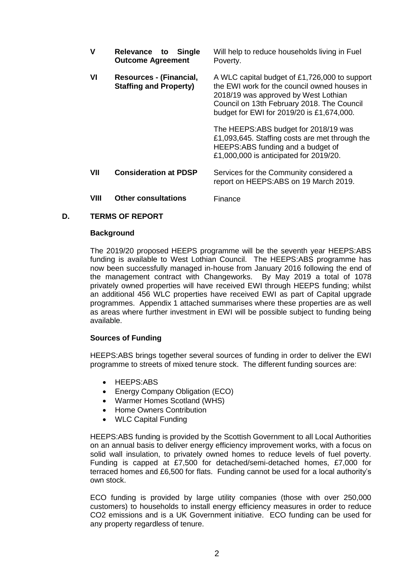| v    | Relevance to Single<br><b>Outcome Agreement</b>          | Will help to reduce households living in Fuel<br>Poverty.                                                                                                                                                                        |
|------|----------------------------------------------------------|----------------------------------------------------------------------------------------------------------------------------------------------------------------------------------------------------------------------------------|
| VI   | Resources - (Financial,<br><b>Staffing and Property)</b> | A WLC capital budget of £1,726,000 to support<br>the EWI work for the council owned houses in<br>2018/19 was approved by West Lothian<br>Council on 13th February 2018. The Council<br>budget for EWI for 2019/20 is £1,674,000. |
|      |                                                          | The HEEPS:ABS budget for 2018/19 was<br>£1,093,645. Staffing costs are met through the<br>HEEPS:ABS funding and a budget of<br>£1,000,000 is anticipated for 2019/20.                                                            |
| VII  | <b>Consideration at PDSP</b>                             | Services for the Community considered a<br>report on HEEPS:ABS on 19 March 2019.                                                                                                                                                 |
| VIII | <b>Other consultations</b>                               | Finance                                                                                                                                                                                                                          |

# **D. TERMS OF REPORT**

#### **Background**

The 2019/20 proposed HEEPS programme will be the seventh year HEEPS:ABS funding is available to West Lothian Council. The HEEPS:ABS programme has now been successfully managed in-house from January 2016 following the end of the management contract with Changeworks. By May 2019 a total of 1078 privately owned properties will have received EWI through HEEPS funding; whilst an additional 456 WLC properties have received EWI as part of Capital upgrade programmes. Appendix 1 attached summarises where these properties are as well as areas where further investment in EWI will be possible subject to funding being available.

#### **Sources of Funding**

HEEPS:ABS brings together several sources of funding in order to deliver the EWI programme to streets of mixed tenure stock. The different funding sources are:

- HEEPS:ABS
- Energy Company Obligation (ECO)
- Warmer Homes Scotland (WHS)
- Home Owners Contribution
- WLC Capital Funding

HEEPS:ABS funding is provided by the Scottish Government to all Local Authorities on an annual basis to deliver energy efficiency improvement works, with a focus on solid wall insulation, to privately owned homes to reduce levels of fuel poverty. Funding is capped at £7,500 for detached/semi-detached homes, £7,000 for terraced homes and £6,500 for flats. Funding cannot be used for a local authority's own stock.

ECO funding is provided by large utility companies (those with over 250,000 customers) to households to install energy efficiency measures in order to reduce CO2 emissions and is a UK Government initiative. ECO funding can be used for any property regardless of tenure.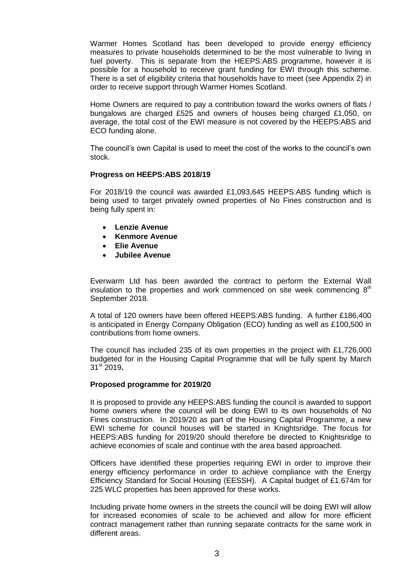Warmer Homes Scotland has been developed to provide energy efficiency measures to private households determined to be the most vulnerable to living in fuel poverty. This is separate from the HEEPS:ABS programme, however it is possible for a household to receive grant funding for EWI through this scheme. There is a set of eligibility criteria that households have to meet (see Appendix 2) in order to receive support through Warmer Homes Scotland.

Home Owners are required to pay a contribution toward the works owners of flats / bungalows are charged £525 and owners of houses being charged £1,050, on average, the total cost of the EWI measure is not covered by the HEEPS:ABS and ECO funding alone.

The council's own Capital is used to meet the cost of the works to the council's own stock.

# **Progress on HEEPS:ABS 2018/19**

For 2018/19 the council was awarded £1,093,645 HEEPS:ABS funding which is being used to target privately owned properties of No Fines construction and is being fully spent in:

- **Lenzie Avenue**
- **Kenmore Avenue**
- **Elie Avenue**
- **Jubilee Avenue**

Everwarm Ltd has been awarded the contract to perform the External Wall insulation to the properties and work commenced on site week commencing  $8<sup>th</sup>$ September 2018.

A total of 120 owners have been offered HEEPS:ABS funding. A further £186,400 is anticipated in Energy Company Obligation (ECO) funding as well as £100,500 in contributions from home owners.

The council has included 235 of its own properties in the project with £1,726,000 budgeted for in the Housing Capital Programme that will be fully spent by March 31st 2019**.** 

#### **Proposed programme for 2019/20**

It is proposed to provide any HEEPS:ABS funding the council is awarded to support home owners where the council will be doing EWI to its own households of No Fines construction. In 2019/20 as part of the Housing Capital Programme, a new EWI scheme for council houses will be started in Knightsridge. The focus for HEEPS:ABS funding for 2019/20 should therefore be directed to Knightsridge to achieve economies of scale and continue with the area based approached.

Officers have identified these properties requiring EWI in order to improve their energy efficiency performance in order to achieve compliance with the Energy Efficiency Standard for Social Housing (EESSH). A Capital budget of £1.674m for 225 WLC properties has been approved for these works.

Including private home owners in the streets the council will be doing EWI will allow for increased economies of scale to be achieved and allow for more efficient contract management rather than running separate contracts for the same work in different areas.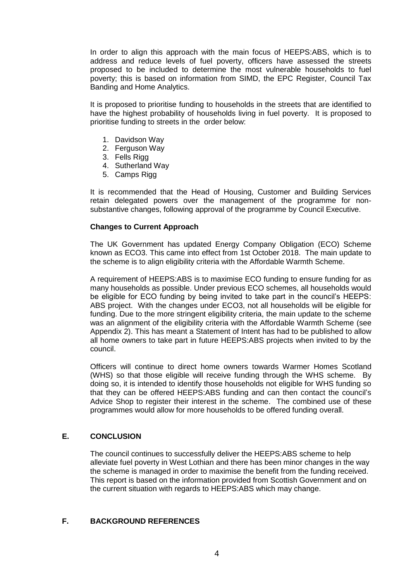In order to align this approach with the main focus of HEEPS:ABS, which is to address and reduce levels of fuel poverty, officers have assessed the streets proposed to be included to determine the most vulnerable households to fuel poverty; this is based on information from SIMD, the EPC Register, Council Tax Banding and Home Analytics.

It is proposed to prioritise funding to households in the streets that are identified to have the highest probability of households living in fuel poverty. It is proposed to prioritise funding to streets in the order below:

- 1. Davidson Way
- 2. Ferguson Way
- 3. Fells Rigg
- 4. Sutherland Way
- 5. Camps Rigg

It is recommended that the Head of Housing, Customer and Building Services retain delegated powers over the management of the programme for nonsubstantive changes, following approval of the programme by Council Executive.

# **Changes to Current Approach**

The UK Government has updated Energy Company Obligation (ECO) Scheme known as ECO3. This came into effect from 1st October 2018. The main update to the scheme is to align eligibility criteria with the Affordable Warmth Scheme.

A requirement of HEEPS:ABS is to maximise ECO funding to ensure funding for as many households as possible. Under previous ECO schemes, all households would be eligible for ECO funding by being invited to take part in the council's HEEPS: ABS project. With the changes under ECO3, not all households will be eligible for funding. Due to the more stringent eligibility criteria, the main update to the scheme was an alignment of the eligibility criteria with the Affordable Warmth Scheme (see Appendix 2). This has meant a Statement of Intent has had to be published to allow all home owners to take part in future HEEPS:ABS projects when invited to by the council.

Officers will continue to direct home owners towards Warmer Homes Scotland (WHS) so that those eligible will receive funding through the WHS scheme. By doing so, it is intended to identify those households not eligible for WHS funding so that they can be offered HEEPS:ABS funding and can then contact the council's Advice Shop to register their interest in the scheme. The combined use of these programmes would allow for more households to be offered funding overall.

# **E. CONCLUSION**

The council continues to successfully deliver the HEEPS:ABS scheme to help alleviate fuel poverty in West Lothian and there has been minor changes in the way the scheme is managed in order to maximise the benefit from the funding received. This report is based on the information provided from Scottish Government and on the current situation with regards to HEEPS:ABS which may change.

# **F. BACKGROUND REFERENCES**